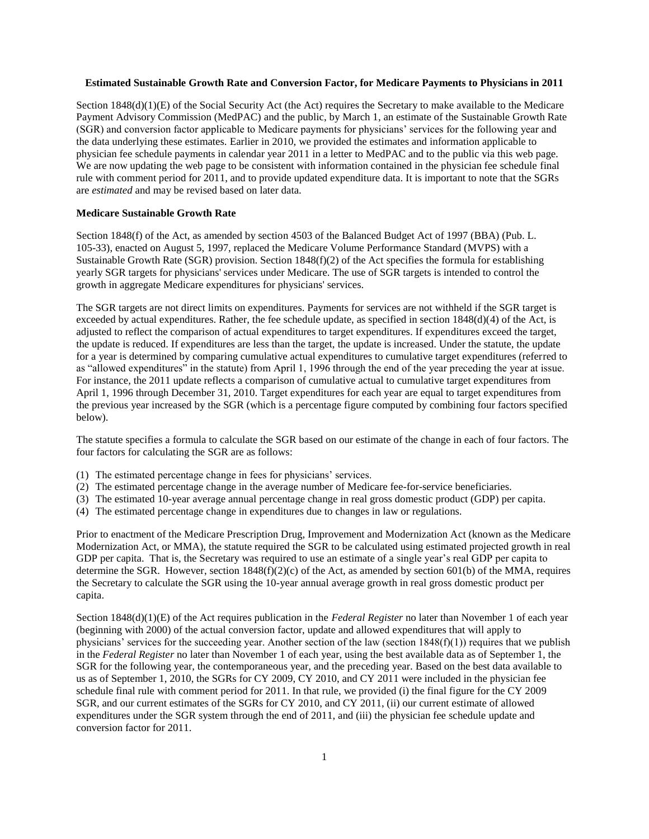# **Estimated Sustainable Growth Rate and Conversion Factor, for Medicare Payments to Physicians in 2011**

Section 1848(d)(1)(E) of the Social Security Act (the Act) requires the Secretary to make available to the Medicare Payment Advisory Commission (MedPAC) and the public, by March 1, an estimate of the Sustainable Growth Rate (SGR) and conversion factor applicable to Medicare payments for physicians' services for the following year and the data underlying these estimates. Earlier in 2010, we provided the estimates and information applicable to physician fee schedule payments in calendar year 2011 in a letter to MedPAC and to the public via this web page. We are now updating the web page to be consistent with information contained in the physician fee schedule final rule with comment period for 2011, and to provide updated expenditure data. It is important to note that the SGRs are *estimated* and may be revised based on later data.

#### **Medicare Sustainable Growth Rate**

Section 1848(f) of the Act, as amended by section 4503 of the Balanced Budget Act of 1997 (BBA) (Pub. L. 105-33), enacted on August 5, 1997, replaced the Medicare Volume Performance Standard (MVPS) with a Sustainable Growth Rate (SGR) provision. Section 1848(f)(2) of the Act specifies the formula for establishing yearly SGR targets for physicians' services under Medicare. The use of SGR targets is intended to control the growth in aggregate Medicare expenditures for physicians' services.

The SGR targets are not direct limits on expenditures. Payments for services are not withheld if the SGR target is exceeded by actual expenditures. Rather, the fee schedule update, as specified in section  $1848(d)(4)$  of the Act, is adjusted to reflect the comparison of actual expenditures to target expenditures. If expenditures exceed the target, the update is reduced. If expenditures are less than the target, the update is increased. Under the statute, the update for a year is determined by comparing cumulative actual expenditures to cumulative target expenditures (referred to as "allowed expenditures" in the statute) from April 1, 1996 through the end of the year preceding the year at issue. For instance, the 2011 update reflects a comparison of cumulative actual to cumulative target expenditures from April 1, 1996 through December 31, 2010. Target expenditures for each year are equal to target expenditures from the previous year increased by the SGR (which is a percentage figure computed by combining four factors specified below).

The statute specifies a formula to calculate the SGR based on our estimate of the change in each of four factors. The four factors for calculating the SGR are as follows:

- (1) The estimated percentage change in fees for physicians' services.
- (2) The estimated percentage change in the average number of Medicare fee-for-service beneficiaries.
- (3) The estimated 10-year average annual percentage change in real gross domestic product (GDP) per capita.
- (4) The estimated percentage change in expenditures due to changes in law or regulations.

Prior to enactment of the Medicare Prescription Drug, Improvement and Modernization Act (known as the Medicare Modernization Act, or MMA), the statute required the SGR to be calculated using estimated projected growth in real GDP per capita. That is, the Secretary was required to use an estimate of a single year's real GDP per capita to determine the SGR. However, section  $1848(f)(2)(c)$  of the Act, as amended by section 601(b) of the MMA, requires the Secretary to calculate the SGR using the 10-year annual average growth in real gross domestic product per capita.

Section 1848(d)(1)(E) of the Act requires publication in the *Federal Register* no later than November 1 of each year (beginning with 2000) of the actual conversion factor, update and allowed expenditures that will apply to physicians' services for the succeeding year. Another section of the law (section  $1848(f)(1)$ ) requires that we publish in the *Federal Register* no later than November 1 of each year, using the best available data as of September 1, the SGR for the following year, the contemporaneous year, and the preceding year. Based on the best data available to us as of September 1, 2010, the SGRs for CY 2009, CY 2010, and CY 2011 were included in the physician fee schedule final rule with comment period for 2011. In that rule, we provided (i) the final figure for the CY 2009 SGR, and our current estimates of the SGRs for CY 2010, and CY 2011, (ii) our current estimate of allowed expenditures under the SGR system through the end of 2011, and (iii) the physician fee schedule update and conversion factor for 2011.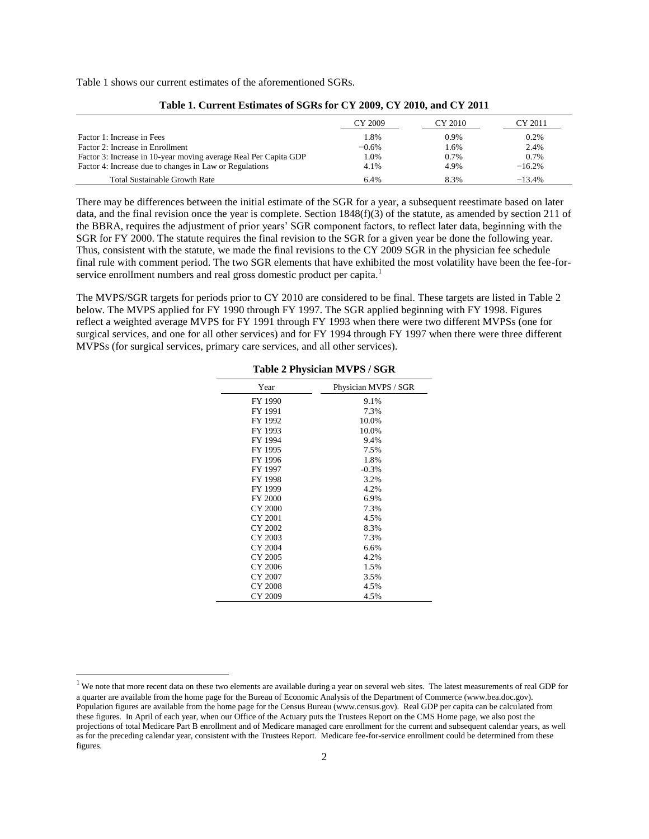Table 1 shows our current estimates of the aforementioned SGRs.

|                                                                  | CY 2009 | CY 2010 | CY 2011  |
|------------------------------------------------------------------|---------|---------|----------|
| Factor 1: Increase in Fees                                       | 1.8%    | $0.9\%$ | 0.2%     |
| Factor 2: Increase in Enrollment                                 | $-0.6%$ | 1.6%    | 2.4%     |
| Factor 3: Increase in 10-year moving average Real Per Capita GDP | 1.0%    | 0.7%    | 0.7%     |
| Factor 4: Increase due to changes in Law or Regulations          | 4.1%    | 4.9%    | $-16.2%$ |
| <b>Total Sustainable Growth Rate</b>                             | 6.4%    | 8.3%    | $-13.4%$ |

|  |  | Table 1. Current Estimates of SGRs for CY 2009, CY 2010, and CY 2011 |  |  |  |  |
|--|--|----------------------------------------------------------------------|--|--|--|--|
|--|--|----------------------------------------------------------------------|--|--|--|--|

There may be differences between the initial estimate of the SGR for a year, a subsequent reestimate based on later data, and the final revision once the year is complete. Section 1848(f)(3) of the statute, as amended by section 211 of the BBRA, requires the adjustment of prior years' SGR component factors, to reflect later data, beginning with the SGR for FY 2000. The statute requires the final revision to the SGR for a given year be done the following year. Thus, consistent with the statute, we made the final revisions to the CY 2009 SGR in the physician fee schedule final rule with comment period. The two SGR elements that have exhibited the most volatility have been the fee-forservice enrollment numbers and real gross domestic product per capita.<sup>1</sup>

The MVPS/SGR targets for periods prior to CY 2010 are considered to be final. These targets are listed in Table 2 below. The MVPS applied for FY 1990 through FY 1997. The SGR applied beginning with FY 1998. Figures reflect a weighted average MVPS for FY 1991 through FY 1993 when there were two different MVPSs (one for surgical services, and one for all other services) and for FY 1994 through FY 1997 when there were three different MVPSs (for surgical services, primary care services, and all other services).

| Year           | Physician MVPS / SGR |
|----------------|----------------------|
| FY 1990        | 9.1%                 |
| FY 1991        | 7.3%                 |
| FY 1992        | 10.0%                |
| FY 1993        | 10.0%                |
| FY 1994        | 9.4%                 |
| FY 1995        | 7.5%                 |
| FY 1996        | 1.8%                 |
| FY 1997        | $-0.3%$              |
| FY 1998        | 3.2%                 |
| FY 1999        | 4.2%                 |
| <b>FY 2000</b> | 6.9%                 |
| CY 2000        | 7.3%                 |
| CY 2001        | 4.5%                 |
| CY 2002        | 8.3%                 |
| CY 2003        | 7.3%                 |
| CY 2004        | 6.6%                 |
| CY 2005        | 4.2%                 |
| CY 2006        | 1.5%                 |
| CY 2007        | 3.5%                 |
| CY 2008        | 4.5%                 |
| CY 2009        | 4.5%                 |

**Table 2 Physician MVPS / SGR**

 $\overline{a}$ 

<sup>&</sup>lt;sup>1</sup> We note that more recent data on these two elements are available during a year on several web sites. The latest measurements of real GDP for a quarter are available from the home page for the Bureau of Economic Analysis of the Department of Commerce (www.bea.doc.gov). Population figures are available from the home page for the Census Bureau (www.census.gov). Real GDP per capita can be calculated from these figures. In April of each year, when our Office of the Actuary puts the Trustees Report on the CMS Home page, we also post the projections of total Medicare Part B enrollment and of Medicare managed care enrollment for the current and subsequent calendar years, as well as for the preceding calendar year, consistent with the Trustees Report. Medicare fee-for-service enrollment could be determined from these figures.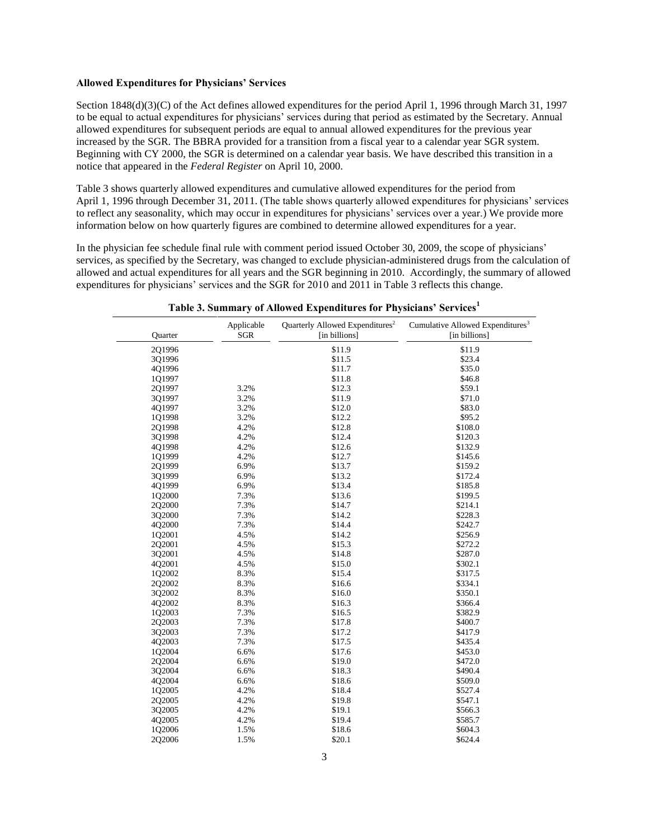## **Allowed Expenditures for Physicians' Services**

Section 1848(d)(3)(C) of the Act defines allowed expenditures for the period April 1, 1996 through March 31, 1997 to be equal to actual expenditures for physicians' services during that period as estimated by the Secretary. Annual allowed expenditures for subsequent periods are equal to annual allowed expenditures for the previous year increased by the SGR. The BBRA provided for a transition from a fiscal year to a calendar year SGR system. Beginning with CY 2000, the SGR is determined on a calendar year basis. We have described this transition in a notice that appeared in the *Federal Register* on April 10, 2000.

Table 3 shows quarterly allowed expenditures and cumulative allowed expenditures for the period from April 1, 1996 through December 31, 2011. (The table shows quarterly allowed expenditures for physicians' services to reflect any seasonality, which may occur in expenditures for physicians' services over a year.) We provide more information below on how quarterly figures are combined to determine allowed expenditures for a year.

In the physician fee schedule final rule with comment period issued October 30, 2009, the scope of physicians' services, as specified by the Secretary, was changed to exclude physician-administered drugs from the calculation of allowed and actual expenditures for all years and the SGR beginning in 2010. Accordingly, the summary of allowed expenditures for physicians' services and the SGR for 2010 and 2011 in Table 3 reflects this change.

| Quarter | Applicable<br><b>SGR</b> | Quarterly Allowed Expenditures <sup>2</sup><br>[in billions] | Cumulative Allowed Expenditures <sup>3</sup><br>[in billions] |
|---------|--------------------------|--------------------------------------------------------------|---------------------------------------------------------------|
| 2Q1996  |                          | \$11.9                                                       | \$11.9                                                        |
| 3Q1996  |                          | \$11.5                                                       | \$23.4                                                        |
| 4Q1996  |                          | \$11.7                                                       | \$35.0                                                        |
| 101997  |                          | \$11.8                                                       | \$46.8                                                        |
| 2Q1997  | 3.2%                     | \$12.3                                                       | \$59.1                                                        |
| 3Q1997  | 3.2%                     | \$11.9                                                       | \$71.0                                                        |
| 4Q1997  | 3.2%                     | \$12.0                                                       | \$83.0                                                        |
| 1Q1998  | 3.2%                     | \$12.2                                                       | \$95.2                                                        |
| 201998  | 4.2%                     | \$12.8                                                       | \$108.0                                                       |
| 3Q1998  | 4.2%                     | \$12.4                                                       | \$120.3                                                       |
| 4Q1998  | 4.2%                     | \$12.6                                                       | \$132.9                                                       |
| 1Q1999  | 4.2%                     | \$12.7                                                       | \$145.6                                                       |
| 2Q1999  | 6.9%                     | \$13.7                                                       | \$159.2                                                       |
| 3Q1999  | 6.9%                     | \$13.2                                                       | \$172.4                                                       |
| 4Q1999  | 6.9%                     | \$13.4                                                       | \$185.8                                                       |
| 1Q2000  | 7.3%                     | \$13.6                                                       | \$199.5                                                       |
| 2Q2000  | 7.3%                     | \$14.7                                                       | \$214.1                                                       |
| 3Q2000  | 7.3%                     | \$14.2                                                       | \$228.3                                                       |
| 4Q2000  | 7.3%                     | \$14.4                                                       | \$242.7                                                       |
| 1Q2001  | 4.5%                     | \$14.2                                                       | \$256.9                                                       |
| 2Q2001  | 4.5%                     | \$15.3                                                       | \$272.2                                                       |
| 3Q2001  | 4.5%                     | \$14.8                                                       | \$287.0                                                       |
| 4Q2001  | 4.5%                     | \$15.0                                                       | \$302.1                                                       |
| 1Q2002  | 8.3%                     | \$15.4                                                       | \$317.5                                                       |
| 2Q2002  | 8.3%                     | \$16.6                                                       | \$334.1                                                       |
| 3Q2002  | 8.3%                     | \$16.0                                                       | \$350.1                                                       |
| 4Q2002  | 8.3%                     | \$16.3                                                       | \$366.4                                                       |
| 1Q2003  | 7.3%                     | \$16.5                                                       | \$382.9                                                       |
| 2Q2003  | 7.3%                     | \$17.8                                                       | \$400.7                                                       |
| 3Q2003  | 7.3%                     | \$17.2                                                       | \$417.9                                                       |
| 4Q2003  | 7.3%                     | \$17.5                                                       | \$435.4                                                       |
| 1Q2004  | 6.6%                     | \$17.6                                                       | \$453.0                                                       |
| 202004  | 6.6%                     | \$19.0                                                       | \$472.0                                                       |
| 3Q2004  | 6.6%                     | \$18.3                                                       | \$490.4                                                       |
| 4Q2004  | 6.6%                     | \$18.6                                                       | \$509.0                                                       |
| 1Q2005  | 4.2%                     | \$18.4                                                       | \$527.4                                                       |
| 2Q2005  | 4.2%                     | \$19.8                                                       | \$547.1                                                       |
| 3Q2005  | 4.2%                     | \$19.1                                                       | \$566.3                                                       |
| 4Q2005  | 4.2%                     | \$19.4                                                       | \$585.7                                                       |
| 1Q2006  | 1.5%                     | \$18.6                                                       | \$604.3                                                       |
| 2Q2006  | 1.5%                     | \$20.1                                                       | \$624.4                                                       |

**Table 3. Summary of Allowed Expenditures for Physicians' Services[1](#page-3-0)**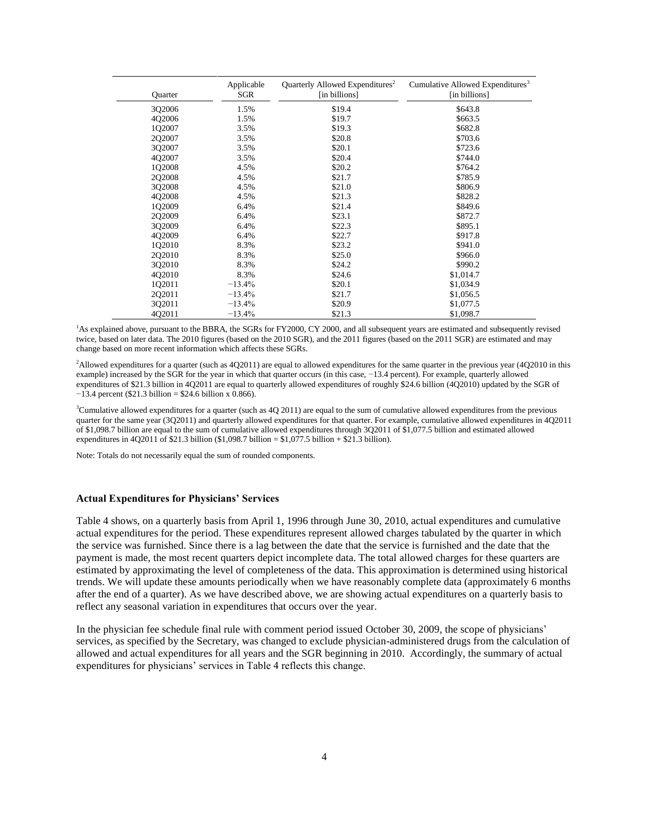| Quarter | Applicable<br>SGR | Quarterly Allowed Expenditures <sup>2</sup><br>[in billions] | Cumulative Allowed Expenditures <sup>3</sup><br>[in billions] |
|---------|-------------------|--------------------------------------------------------------|---------------------------------------------------------------|
| 3Q2006  | 1.5%              | \$19.4                                                       | \$643.8                                                       |
| 4Q2006  | 1.5%              | \$19.7                                                       | \$663.5                                                       |
| 102007  | 3.5%              | \$19.3                                                       | \$682.8                                                       |
| 2Q2007  | 3.5%              | \$20.8                                                       | \$703.6                                                       |
| 302007  | 3.5%              | \$20.1                                                       | \$723.6                                                       |
| 4Q2007  | 3.5%              | \$20.4                                                       | \$744.0                                                       |
| 102008  | 4.5%              | \$20.2                                                       | \$764.2                                                       |
| 2Q2008  | 4.5%              | \$21.7                                                       | \$785.9                                                       |
| 3Q2008  | 4.5%              | \$21.0                                                       | \$806.9                                                       |
| 4Q2008  | 4.5%              | \$21.3                                                       | \$828.2                                                       |
| 102009  | 6.4%              | \$21.4                                                       | \$849.6                                                       |
| 2Q2009  | 6.4%              | \$23.1                                                       | \$872.7                                                       |
| 3Q2009  | 6.4%              | \$22.3                                                       | \$895.1                                                       |
| 402009  | 6.4%              | \$22.7                                                       | \$917.8                                                       |
| 1Q2010  | 8.3%              | \$23.2                                                       | \$941.0                                                       |
| 202010  | 8.3%              | \$25.0                                                       | \$966.0                                                       |
| 3Q2010  | 8.3%              | \$24.2                                                       | \$990.2                                                       |
| 402010  | 8.3%              | \$24.6                                                       | \$1,014.7                                                     |
| 1Q2011  | $-13.4%$          | \$20.1                                                       | \$1,034.9                                                     |
| 202011  | $-13.4%$          | \$21.7                                                       | \$1,056.5                                                     |
| 3Q2011  | $-13.4%$          | \$20.9                                                       | \$1,077.5                                                     |
| 4Q2011  | $-13.4%$          | \$21.3                                                       | \$1,098.7                                                     |

<span id="page-3-0"></span><sup>1</sup>As explained above, pursuant to the BBRA, the SGRs for FY2000, CY 2000, and all subsequent years are estimated and subsequently revised twice, based on later data. The 2010 figures (based on the 2010 SGR), and the 2011 figures (based on the 2011 SGR) are estimated and may change based on more recent information which affects these SGRs.

<span id="page-3-1"></span><sup>2</sup>Allowed expenditures for a quarter (such as 4Q2011) are equal to allowed expenditures for the same quarter in the previous year (4Q2010 in this example) increased by the SGR for the year in which that quarter occurs (in this case, −13.4 percent). For example, quarterly allowed expenditures of \$21.3 billion in 4Q2011 are equal to quarterly allowed expenditures of roughly \$24.6 billion (4Q2010) updated by the SGR of −13.4 percent (\$21.3 billion = \$24.6 billion x 0.866).

<span id="page-3-2"></span> $3$ Cumulative allowed expenditures for a quarter (such as  $4Q 2011$ ) are equal to the sum of cumulative allowed expenditures from the previous quarter for the same year (3Q2011) and quarterly allowed expenditures for that quarter. For example, cumulative allowed expenditures in 4Q2011 of \$1,098.7 billion are equal to the sum of cumulative allowed expenditures through 3Q2011 of \$1,077.5 billion and estimated allowed expenditures in 4Q2011 of \$21.3 billion (\$1,098.7 billion =  $$1,077.5$  billion + \$21.3 billion).

Note: Totals do not necessarily equal the sum of rounded components.

## **Actual Expenditures for Physicians' Services**

Table 4 shows, on a quarterly basis from April 1, 1996 through June 30, 2010, actual expenditures and cumulative actual expenditures for the period. These expenditures represent allowed charges tabulated by the quarter in which the service was furnished. Since there is a lag between the date that the service is furnished and the date that the payment is made, the most recent quarters depict incomplete data. The total allowed charges for these quarters are estimated by approximating the level of completeness of the data. This approximation is determined using historical trends. We will update these amounts periodically when we have reasonably complete data (approximately 6 months after the end of a quarter). As we have described above, we are showing actual expenditures on a quarterly basis to reflect any seasonal variation in expenditures that occurs over the year.

In the physician fee schedule final rule with comment period issued October 30, 2009, the scope of physicians' services, as specified by the Secretary, was changed to exclude physician-administered drugs from the calculation of allowed and actual expenditures for all years and the SGR beginning in 2010. Accordingly, the summary of actual expenditures for physicians' services in Table 4 reflects this change.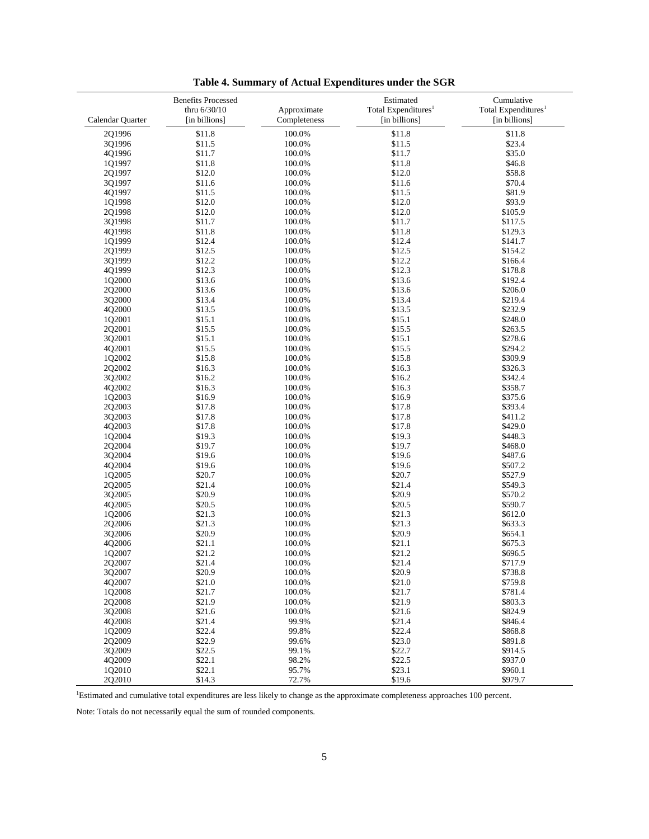|                  | <b>Benefits Processed</b> |              | Estimated                       | Cumulative                      |
|------------------|---------------------------|--------------|---------------------------------|---------------------------------|
|                  | thru 6/30/10              | Approximate  | Total Expenditures <sup>1</sup> | Total Expenditures <sup>1</sup> |
| Calendar Quarter | [in billions]             | Completeness | [in billions]                   | [in billions]                   |
| 2Q1996           | \$11.8                    | 100.0%       | \$11.8                          | \$11.8                          |
| 3Q1996           | \$11.5                    | 100.0%       | \$11.5                          | \$23.4                          |
| 4Q1996           | \$11.7                    | 100.0%       | \$11.7                          | \$35.0                          |
|                  |                           |              |                                 |                                 |
| 1Q1997           | \$11.8                    | 100.0%       | \$11.8                          | \$46.8                          |
| 2Q1997           | \$12.0                    | 100.0%       | \$12.0                          | \$58.8                          |
| 3Q1997           | \$11.6                    | 100.0%       | \$11.6                          | \$70.4                          |
| 4Q1997           | \$11.5                    | 100.0%       | \$11.5                          | \$81.9                          |
| 1Q1998           | \$12.0                    | 100.0%       | \$12.0                          | \$93.9                          |
| 2Q1998           | \$12.0                    | 100.0%       | \$12.0                          | \$105.9                         |
| 3Q1998           | \$11.7                    | 100.0%       | \$11.7                          | \$117.5                         |
| 4Q1998           | \$11.8                    | 100.0%       | \$11.8                          | \$129.3                         |
| 1Q1999           | \$12.4                    | 100.0%       | \$12.4                          | \$141.7                         |
| 2Q1999           | \$12.5                    | 100.0%       | \$12.5                          | \$154.2                         |
|                  |                           |              |                                 |                                 |
| 3Q1999           | \$12.2                    | 100.0%       | \$12.2                          | \$166.4                         |
| 4Q1999           | \$12.3                    | 100.0%       | \$12.3                          | \$178.8                         |
| 1Q2000           | \$13.6                    | 100.0%       | \$13.6                          | \$192.4                         |
| 2Q2000           | \$13.6                    | 100.0%       | \$13.6                          | \$206.0                         |
| 3Q2000           | \$13.4                    | 100.0%       | \$13.4                          | \$219.4                         |
| 4Q2000           | \$13.5                    | 100.0%       | \$13.5                          | \$232.9                         |
| 1Q2001           | \$15.1                    | 100.0%       | \$15.1                          | \$248.0                         |
| 2Q2001           | \$15.5                    | 100.0%       | \$15.5                          | \$263.5                         |
| 3Q2001           | \$15.1                    | 100.0%       | \$15.1                          | \$278.6                         |
| 4Q2001           | \$15.5                    | 100.0%       | \$15.5                          | \$294.2                         |
|                  | \$15.8                    |              | \$15.8                          | \$309.9                         |
| 1Q2002           |                           | 100.0%       |                                 |                                 |
| 2Q2002           | \$16.3                    | 100.0%       | \$16.3                          | \$326.3                         |
| 3Q2002           | \$16.2                    | 100.0%       | \$16.2                          | \$342.4                         |
| 4Q2002           | \$16.3                    | 100.0%       | \$16.3                          | \$358.7                         |
| 1Q2003           | \$16.9                    | 100.0%       | \$16.9                          | \$375.6                         |
| 2Q2003           | \$17.8                    | 100.0%       | \$17.8                          | \$393.4                         |
| 3Q2003           | \$17.8                    | 100.0%       | \$17.8                          | \$411.2                         |
| 4Q2003           | \$17.8                    | 100.0%       | \$17.8                          | \$429.0                         |
| 1Q2004           | \$19.3                    | 100.0%       | \$19.3                          | \$448.3                         |
| 2Q2004           | \$19.7                    | 100.0%       | \$19.7                          | \$468.0                         |
| 3Q2004           | \$19.6                    | 100.0%       | \$19.6                          | \$487.6                         |
| 4Q2004           | \$19.6                    | 100.0%       | \$19.6                          | \$507.2                         |
|                  |                           |              |                                 |                                 |
| 1Q2005           | \$20.7                    | 100.0%       | \$20.7                          | \$527.9                         |
| 2Q2005           | \$21.4                    | 100.0%       | \$21.4                          | \$549.3                         |
| 3Q2005           | \$20.9                    | 100.0%       | \$20.9                          | \$570.2                         |
| 4Q2005           | \$20.5                    | 100.0%       | \$20.5                          | \$590.7                         |
| 1Q2006           | \$21.3                    | 100.0%       | \$21.3                          | \$612.0                         |
| 2Q2006           | \$21.3                    | 100.0%       | \$21.3                          | \$633.3                         |
| 3Q2006           | \$20.9                    | 100.0%       | \$20.9                          | \$654.1                         |
| 4Q2006           | \$21.1                    | 100.0%       | \$21.1                          | \$675.3                         |
| 1Q2007           | \$21.2                    | 100.0%       | \$21.2                          | \$696.5                         |
| 2Q2007           | \$21.4                    | 100.0%       | \$21.4                          | \$717.9                         |
| 3Q2007           | \$20.9                    | 100.0%       | \$20.9                          | \$738.8                         |
| 4Q2007           | \$21.0                    | 100.0%       | \$21.0                          | \$759.8                         |
| 1Q2008           | \$21.7                    |              | \$21.7                          | \$781.4                         |
|                  |                           | 100.0%       |                                 |                                 |
| 2Q2008           | \$21.9                    | 100.0%       | \$21.9                          | \$803.3                         |
| 3Q2008           | \$21.6                    | 100.0%       | \$21.6                          | \$824.9                         |
| 402008           | \$21.4                    | 99.9%        | \$21.4                          | \$846.4                         |
| 1Q2009           | \$22.4                    | 99.8%        | \$22.4                          | \$868.8                         |
| 2Q2009           | \$22.9                    | 99.6%        | \$23.0                          | \$891.8                         |
| 3Q2009           | \$22.5                    | 99.1%        | \$22.7                          | \$914.5                         |
| 402009           | \$22.1                    | 98.2%        | \$22.5                          | \$937.0                         |
| 1Q2010           | \$22.1                    | 95.7%        | \$23.1                          | \$960.1                         |
| 2Q2010           | \$14.3                    | 72.7%        | \$19.6                          | \$979.7                         |
|                  |                           |              |                                 |                                 |

**Table 4. Summary of Actual Expenditures under the SGR**

<span id="page-4-0"></span><sup>1</sup>Estimated and cumulative total expenditures are less likely to change as the approximate completeness approaches 100 percent.

Note: Totals do not necessarily equal the sum of rounded components.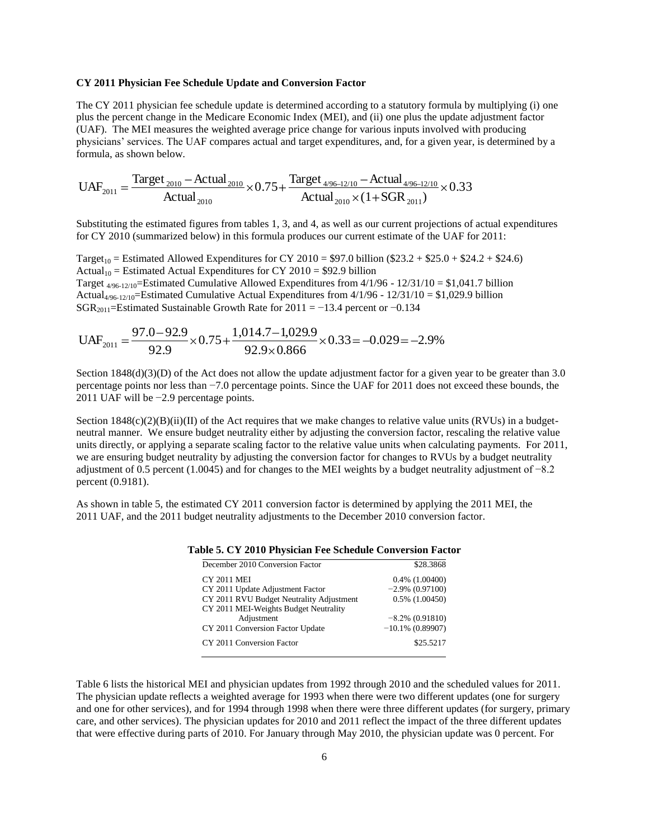## **CY 2011 Physician Fee Schedule Update and Conversion Factor**

The CY 2011 physician fee schedule update is determined according to a statutory formula by multiplying (i) one plus the percent change in the Medicare Economic Index (MEI), and (ii) one plus the update adjustment factor (UAF). The MEI measures the weighted average price change for various inputs involved with producing physicians' services. The UAF compares actual and target expenditures, and, for a given year, is determined by a formula, as shown below.

$$
UAF_{2011} = \frac{\text{Target}_{2010} - \text{Actual}_{2010}}{\text{Actual}_{2010}} \times 0.75 + \frac{\text{Target}_{4/96-12/10} - \text{Actual}_{4/96-12/10}}{\text{Actual}_{2010} \times (1 + SGR_{2011})} \times 0.33
$$

Substituting the estimated figures from tables 1, 3, and 4, as well as our current projections of actual expenditures for CY 2010 (summarized below) in this formula produces our current estimate of the UAF for 2011:

Target<sub>10</sub> = Estimated Allowed Expenditures for CY 2010 = \$97.0 billion (\$23.2 + \$25.0 + \$24.2 + \$24.6) Actual<sub>10</sub> = Estimated Actual Expenditures for CY 2010 = \$92.9 billion Target  $_{4/96-12/10}$ =Estimated Cumulative Allowed Expenditures from  $4/1/96 - 12/31/10 = $1,041.7$  billion Actual<sub>4/96-12/10</sub>=Estimated Cumulative Actual Expenditures from  $4/1/96 - 12/31/10 = $1,029.9$  billion SGR<sub>2011</sub>=Estimated Sustainable Growth Rate for 2011 = −13.4 percent or −0.134

$$
UAF_{2011} = \frac{97.0 - 92.9}{92.9} \times 0.75 + \frac{1,014.7 - 1,029.9}{92.9 \times 0.866} \times 0.33 = -0.029 = -2.9\%
$$

Section  $1848(d)(3)(D)$  of the Act does not allow the update adjustment factor for a given year to be greater than 3.0 percentage points nor less than −7.0 percentage points. Since the UAF for 2011 does not exceed these bounds, the 2011 UAF will be −2.9 percentage points.

Section  $1848(c)(2)(B)(ii)(II)$  of the Act requires that we make changes to relative value units (RVUs) in a budgetneutral manner. We ensure budget neutrality either by adjusting the conversion factor, rescaling the relative value units directly, or applying a separate scaling factor to the relative value units when calculating payments. For 2011, we are ensuring budget neutrality by adjusting the conversion factor for changes to RVUs by a budget neutrality adjustment of 0.5 percent (1.0045) and for changes to the MEI weights by a budget neutrality adjustment of −8.2 percent (0.9181).

As shown in table 5, the estimated CY 2011 conversion factor is determined by applying the 2011 MEI, the 2011 UAF, and the 2011 budget neutrality adjustments to the December 2010 conversion factor.

| December 2010 Conversion Factor          | \$28.3868           |
|------------------------------------------|---------------------|
| <b>CY 2011 MEI</b>                       | $0.4\%$ $(1.00400)$ |
| CY 2011 Update Adjustment Factor         | $-2.9\%$ (0.97100)  |
| CY 2011 RVU Budget Neutrality Adjustment | $0.5\%$ $(1.00450)$ |
| CY 2011 MEI-Weights Budget Neutrality    |                     |
| Adjustment                               | $-8.2\%$ (0.91810)  |
| CY 2011 Conversion Factor Update         | $-10.1\%$ (0.89907) |
| CY 2011 Conversion Factor                | \$25.5217           |
|                                          |                     |

|  |  |  |  | Table 5. CY 2010 Physician Fee Schedule Conversion Factor |  |
|--|--|--|--|-----------------------------------------------------------|--|
|  |  |  |  |                                                           |  |

Table 6 lists the historical MEI and physician updates from 1992 through 2010 and the scheduled values for 2011. The physician update reflects a weighted average for 1993 when there were two different updates (one for surgery and one for other services), and for 1994 through 1998 when there were three different updates (for surgery, primary care, and other services). The physician updates for 2010 and 2011 reflect the impact of the three different updates that were effective during parts of 2010. For January through May 2010, the physician update was 0 percent. For